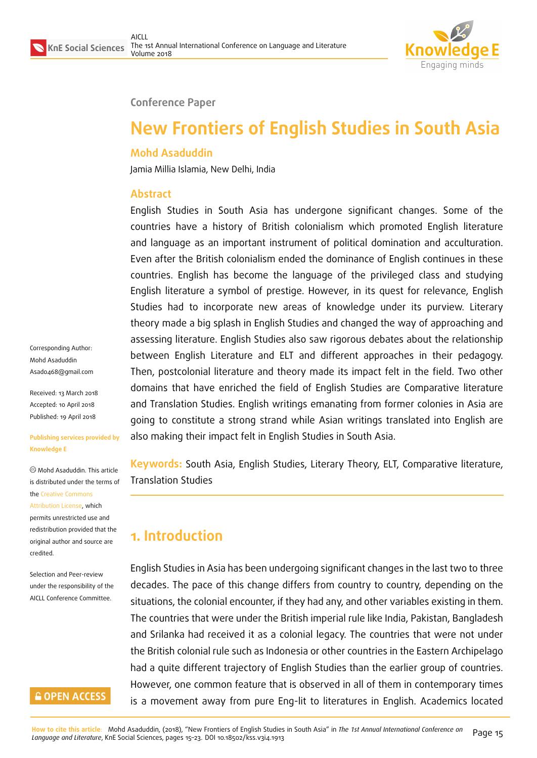

#### **Conference Paper**

# **New Frontiers of English Studies in South Asia**

#### **Mohd Asaduddin**

Jamia Millia Islamia, New Delhi, India

#### **Abstract**

English Studies in South Asia has undergone significant changes. Some of the countries have a history of British colonialism which promoted English literature and language as an important instrument of political domination and acculturation. Even after the British colonialism ended the dominance of English continues in these countries. English has become the language of the privileged class and studying English literature a symbol of prestige. However, in its quest for relevance, English Studies had to incorporate new areas of knowledge under its purview. Literary theory made a big splash in English Studies and changed the way of approaching and assessing literature. English Studies also saw rigorous debates about the relationship between English Literature and ELT and different approaches in their pedagogy. Then, postcolonial literature and theory made its impact felt in the field. Two other domains that have enriched the field of English Studies are Comparative literature and Translation Studies. English writings emanating from former colonies in Asia are going to constitute a strong strand while Asian writings translated into English are also making their impact felt in English Studies in South Asia.

**Keywords:** South Asia, English Studies, Literary Theory, ELT, Comparative literature, Translation Studies

## **1. Introduction**

English Studies in Asia has been undergoing significant changes in the last two to three decades. The pace of this change differs from country to country, depending on the situations, the colonial encounter, if they had any, and other variables existing in them. The countries that were under the British imperial rule like India, Pakistan, Bangladesh and Srilanka had received it as a colonial legacy. The countries that were not under the British colonial rule such as Indonesia or other countries in the Eastern Archipelago had a quite different trajectory of English Studies than the earlier group of countries. However, one common feature that is observed in all of them in contemporary times is a movement away from pure Eng-lit to literatures in English. Academics located

Corresponding Author: Mohd Asaduddin Asad0468@gmail.com

Received: 13 March 2018 Accepted: 10 April 2018 [Published: 19 April 2018](mailto:Asad0468@gmail.com)

#### **Publishing services provided by Knowledge E**

Mohd Asaduddin. This article is distributed under the terms of the Creative Commons Attribution License, which permits unrestricted use and redistribution provided that the ori[ginal author and sou](https://creativecommons.org/licenses/by/4.0/)rce are [credited.](https://creativecommons.org/licenses/by/4.0/)

Selection and Peer-review under the responsibility of the AICLL Conference Committee.

#### **GOPEN ACCESS**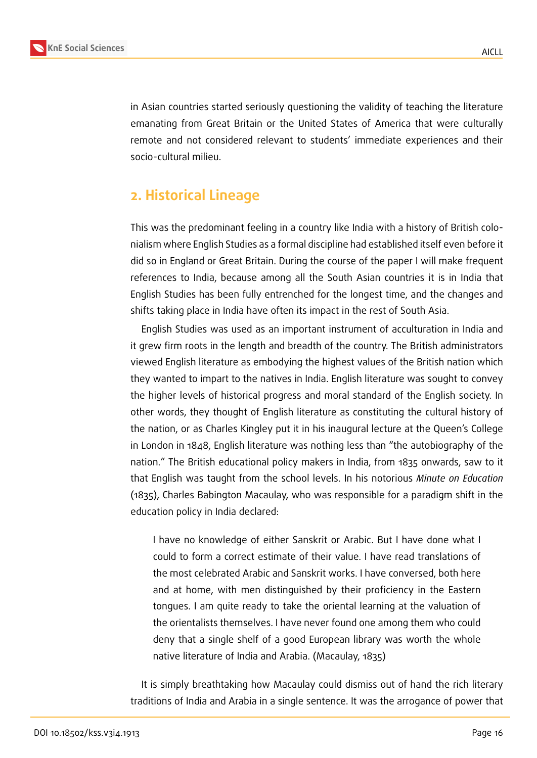

in Asian countries started seriously questioning the validity of teaching the literature emanating from Great Britain or the United States of America that were culturally remote and not considered relevant to students' immediate experiences and their socio-cultural milieu.

### **2. Historical Lineage**

This was the predominant feeling in a country like India with a history of British colonialism where English Studies as a formal discipline had established itself even before it did so in England or Great Britain. During the course of the paper I will make frequent references to India, because among all the South Asian countries it is in India that English Studies has been fully entrenched for the longest time, and the changes and shifts taking place in India have often its impact in the rest of South Asia.

English Studies was used as an important instrument of acculturation in India and it grew firm roots in the length and breadth of the country. The British administrators viewed English literature as embodying the highest values of the British nation which they wanted to impart to the natives in India. English literature was sought to convey the higher levels of historical progress and moral standard of the English society. In other words, they thought of English literature as constituting the cultural history of the nation, or as Charles Kingley put it in his inaugural lecture at the Queen's College in London in 1848, English literature was nothing less than "the autobiography of the nation." The British educational policy makers in India, from 1835 onwards, saw to it that English was taught from the school levels. In his notorious *Minute on Education* (1835), Charles Babington Macaulay, who was responsible for a paradigm shift in the education policy in India declared:

I have no knowledge of either Sanskrit or Arabic. But I have done what I could to form a correct estimate of their value. I have read translations of the most celebrated Arabic and Sanskrit works. I have conversed, both here and at home, with men distinguished by their proficiency in the Eastern tongues. I am quite ready to take the oriental learning at the valuation of the orientalists themselves. I have never found one among them who could deny that a single shelf of a good European library was worth the whole native literature of India and Arabia. (Macaulay, 1835)

It is simply breathtaking how Macaulay could dismiss out of hand the rich literary traditions of India and Arabia in a single sentence. It was the arrogance of power that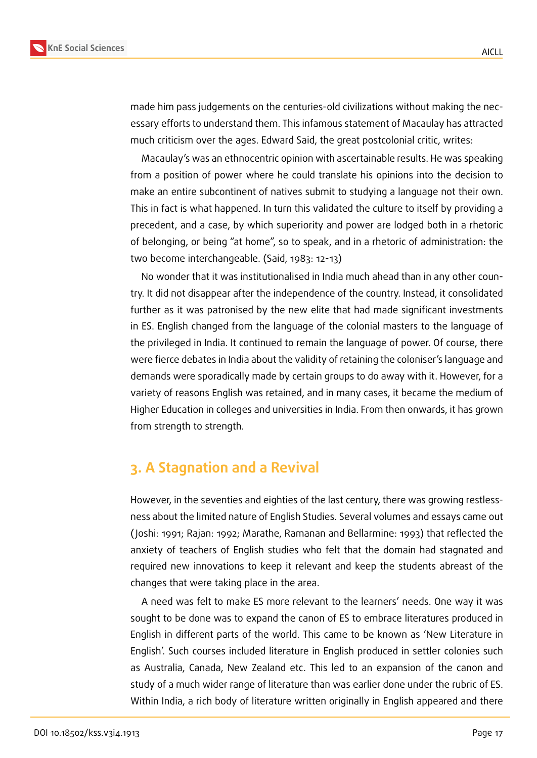

made him pass judgements on the centuries-old civilizations without making the necessary efforts to understand them. This infamous statement of Macaulay has attracted much criticism over the ages. Edward Said, the great postcolonial critic, writes:

Macaulay's was an ethnocentric opinion with ascertainable results. He was speaking from a position of power where he could translate his opinions into the decision to make an entire subcontinent of natives submit to studying a language not their own. This in fact is what happened. In turn this validated the culture to itself by providing a precedent, and a case, by which superiority and power are lodged both in a rhetoric of belonging, or being "at home", so to speak, and in a rhetoric of administration: the two become interchangeable. (Said, 1983: 12-13)

No wonder that it was institutionalised in India much ahead than in any other country. It did not disappear after the independence of the country. Instead, it consolidated further as it was patronised by the new elite that had made significant investments in ES. English changed from the language of the colonial masters to the language of the privileged in India. It continued to remain the language of power. Of course, there were fierce debates in India about the validity of retaining the coloniser's language and demands were sporadically made by certain groups to do away with it. However, for a variety of reasons English was retained, and in many cases, it became the medium of Higher Education in colleges and universities in India. From then onwards, it has grown from strength to strength.

#### **3. A Stagnation and a Revival**

However, in the seventies and eighties of the last century, there was growing restlessness about the limited nature of English Studies. Several volumes and essays came out ( Joshi: 1991; Rajan: 1992; Marathe, Ramanan and Bellarmine: 1993) that reflected the anxiety of teachers of English studies who felt that the domain had stagnated and required new innovations to keep it relevant and keep the students abreast of the changes that were taking place in the area.

A need was felt to make ES more relevant to the learners' needs. One way it was sought to be done was to expand the canon of ES to embrace literatures produced in English in different parts of the world. This came to be known as 'New Literature in English'. Such courses included literature in English produced in settler colonies such as Australia, Canada, New Zealand etc. This led to an expansion of the canon and study of a much wider range of literature than was earlier done under the rubric of ES. Within India, a rich body of literature written originally in English appeared and there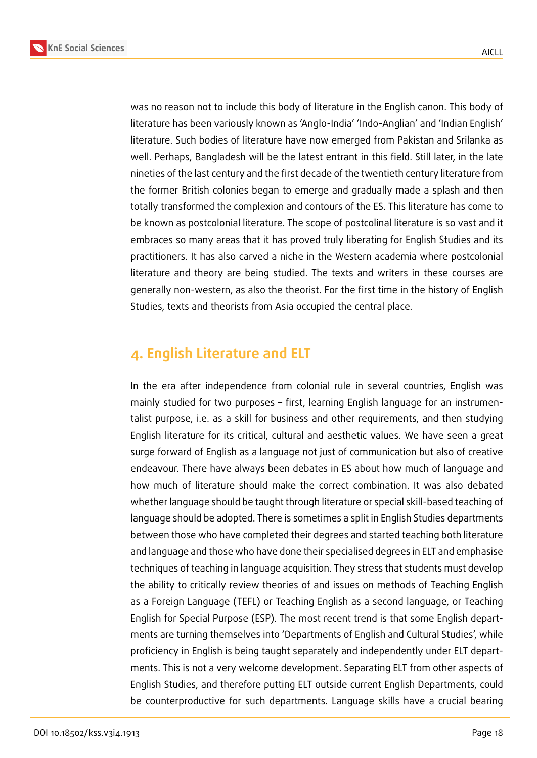



was no reason not to include this body of literature in the English canon. This body of literature has been variously known as 'Anglo-India' 'Indo-Anglian' and 'Indian English' literature. Such bodies of literature have now emerged from Pakistan and Srilanka as well. Perhaps, Bangladesh will be the latest entrant in this field. Still later, in the late nineties of the last century and the first decade of the twentieth century literature from the former British colonies began to emerge and gradually made a splash and then totally transformed the complexion and contours of the ES. This literature has come to be known as postcolonial literature. The scope of postcolinal literature is so vast and it embraces so many areas that it has proved truly liberating for English Studies and its practitioners. It has also carved a niche in the Western academia where postcolonial literature and theory are being studied. The texts and writers in these courses are generally non-western, as also the theorist. For the first time in the history of English Studies, texts and theorists from Asia occupied the central place.

#### **4. English Literature and ELT**

In the era after independence from colonial rule in several countries, English was mainly studied for two purposes – first, learning English language for an instrumentalist purpose, i.e. as a skill for business and other requirements, and then studying English literature for its critical, cultural and aesthetic values. We have seen a great surge forward of English as a language not just of communication but also of creative endeavour. There have always been debates in ES about how much of language and how much of literature should make the correct combination. It was also debated whether language should be taught through literature or special skill-based teaching of language should be adopted. There is sometimes a split in English Studies departments between those who have completed their degrees and started teaching both literature and language and those who have done their specialised degrees in ELT and emphasise techniques of teaching in language acquisition. They stress that students must develop the ability to critically review theories of and issues on methods of Teaching English as a Foreign Language (TEFL) or Teaching English as a second language, or Teaching English for Special Purpose (ESP). The most recent trend is that some English departments are turning themselves into 'Departments of English and Cultural Studies', while proficiency in English is being taught separately and independently under ELT departments. This is not a very welcome development. Separating ELT from other aspects of English Studies, and therefore putting ELT outside current English Departments, could be counterproductive for such departments. Language skills have a crucial bearing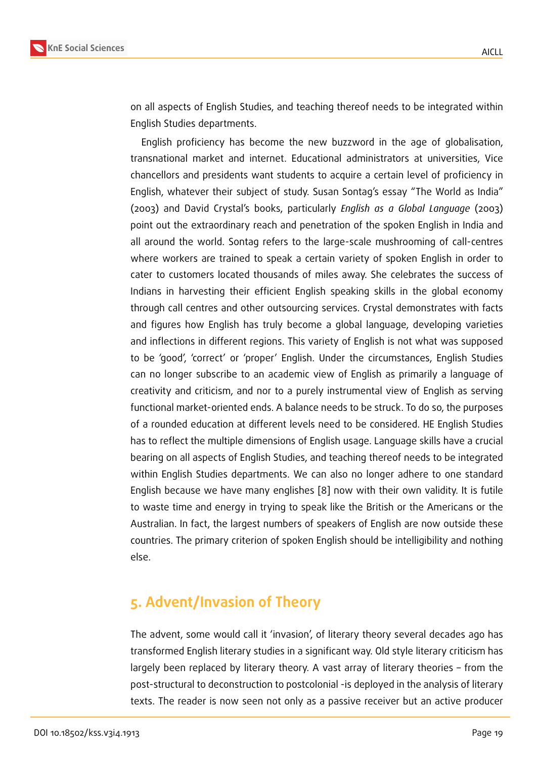on all aspects of English Studies, and teaching thereof needs to be integrated within English Studies departments.

English proficiency has become the new buzzword in the age of globalisation, transnational market and internet. Educational administrators at universities, Vice chancellors and presidents want students to acquire a certain level of proficiency in English, whatever their subject of study. Susan Sontag's essay "The World as India" (2003) and David Crystal's books, particularly *English as a Global Language* (2003) point out the extraordinary reach and penetration of the spoken English in India and all around the world. Sontag refers to the large-scale mushrooming of call-centres where workers are trained to speak a certain variety of spoken English in order to cater to customers located thousands of miles away. She celebrates the success of Indians in harvesting their efficient English speaking skills in the global economy through call centres and other outsourcing services. Crystal demonstrates with facts and figures how English has truly become a global language, developing varieties and inflections in different regions. This variety of English is not what was supposed to be 'good', 'correct' or 'proper' English. Under the circumstances, English Studies can no longer subscribe to an academic view of English as primarily a language of creativity and criticism, and nor to a purely instrumental view of English as serving functional market-oriented ends. A balance needs to be struck. To do so, the purposes of a rounded education at different levels need to be considered. HE English Studies has to reflect the multiple dimensions of English usage. Language skills have a crucial bearing on all aspects of English Studies, and teaching thereof needs to be integrated within English Studies departments. We can also no longer adhere to one standard English because we have many englishes [8] now with their own validity. It is futile to waste time and energy in trying to speak like the British or the Americans or the Australian. In fact, the largest numbers of speakers of English are now outside these countries. The primary criterion of spoken [Eng](#page-8-0)lish should be intelligibility and nothing else.

### **5. Advent/Invasion of Theory**

The advent, some would call it 'invasion', of literary theory several decades ago has transformed English literary studies in a significant way. Old style literary criticism has largely been replaced by literary theory. A vast array of literary theories – from the post-structural to deconstruction to postcolonial -is deployed in the analysis of literary texts. The reader is now seen not only as a passive receiver but an active producer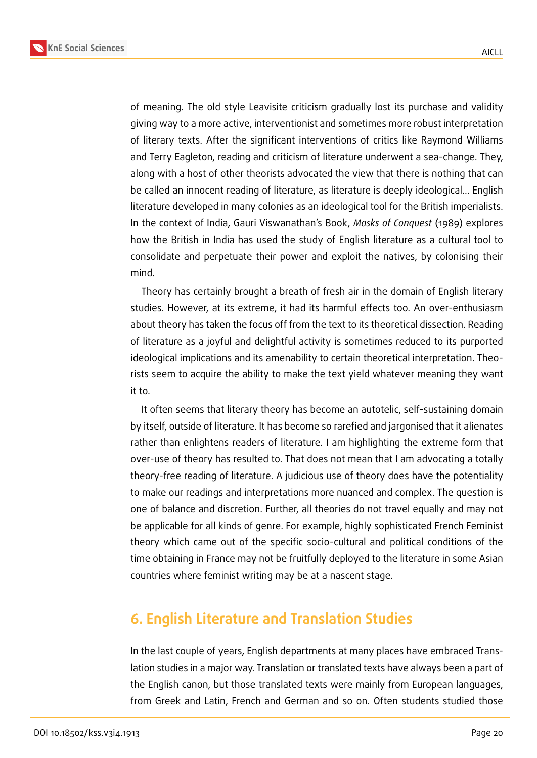

of meaning. The old style Leavisite criticism gradually lost its purchase and validity giving way to a more active, interventionist and sometimes more robust interpretation of literary texts. After the significant interventions of critics like Raymond Williams and Terry Eagleton, reading and criticism of literature underwent a sea-change. They, along with a host of other theorists advocated the view that there is nothing that can be called an innocent reading of literature, as literature is deeply ideological… English literature developed in many colonies as an ideological tool for the British imperialists. In the context of India, Gauri Viswanathan's Book, *Masks of Conquest* (1989) explores how the British in India has used the study of English literature as a cultural tool to consolidate and perpetuate their power and exploit the natives, by colonising their mind.

Theory has certainly brought a breath of fresh air in the domain of English literary studies. However, at its extreme, it had its harmful effects too. An over-enthusiasm about theory has taken the focus off from the text to its theoretical dissection. Reading of literature as a joyful and delightful activity is sometimes reduced to its purported ideological implications and its amenability to certain theoretical interpretation. Theorists seem to acquire the ability to make the text yield whatever meaning they want it to.

It often seems that literary theory has become an autotelic, self-sustaining domain by itself, outside of literature. It has become so rarefied and jargonised that it alienates rather than enlightens readers of literature. I am highlighting the extreme form that over-use of theory has resulted to. That does not mean that I am advocating a totally theory-free reading of literature. A judicious use of theory does have the potentiality to make our readings and interpretations more nuanced and complex. The question is one of balance and discretion. Further, all theories do not travel equally and may not be applicable for all kinds of genre. For example, highly sophisticated French Feminist theory which came out of the specific socio-cultural and political conditions of the time obtaining in France may not be fruitfully deployed to the literature in some Asian countries where feminist writing may be at a nascent stage.

### **6. English Literature and Translation Studies**

In the last couple of years, English departments at many places have embraced Translation studies in a major way. Translation or translated texts have always been a part of the English canon, but those translated texts were mainly from European languages, from Greek and Latin, French and German and so on. Often students studied those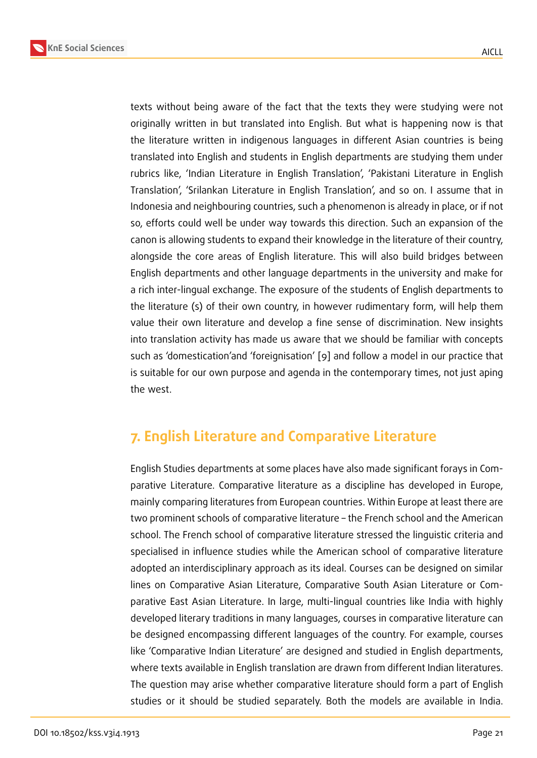texts without being aware of the fact that the texts they were studying were not originally written in but translated into English. But what is happening now is that the literature written in indigenous languages in different Asian countries is being translated into English and students in English departments are studying them under rubrics like, 'Indian Literature in English Translation', 'Pakistani Literature in English Translation', 'Srilankan Literature in English Translation', and so on. I assume that in Indonesia and neighbouring countries, such a phenomenon is already in place, or if not so, efforts could well be under way towards this direction. Such an expansion of the canon is allowing students to expand their knowledge in the literature of their country, alongside the core areas of English literature. This will also build bridges between English departments and other language departments in the university and make for a rich inter-lingual exchange. The exposure of the students of English departments to the literature (s) of their own country, in however rudimentary form, will help them value their own literature and develop a fine sense of discrimination. New insights into translation activity has made us aware that we should be familiar with concepts such as 'domestication'and 'foreignisation' [9] and follow a model in our practice that is suitable for our own purpose and agenda in the contemporary times, not just aping the west.

### **7. English Literature and Comparative Literature**

English Studies departments at some places have also made significant forays in Comparative Literature. Comparative literature as a discipline has developed in Europe, mainly comparing literatures from European countries. Within Europe at least there are two prominent schools of comparative literature – the French school and the American school. The French school of comparative literature stressed the linguistic criteria and specialised in influence studies while the American school of comparative literature adopted an interdisciplinary approach as its ideal. Courses can be designed on similar lines on Comparative Asian Literature, Comparative South Asian Literature or Comparative East Asian Literature. In large, multi-lingual countries like India with highly developed literary traditions in many languages, courses in comparative literature can be designed encompassing different languages of the country. For example, courses like 'Comparative Indian Literature' are designed and studied in English departments, where texts available in English translation are drawn from different Indian literatures. The question may arise whether comparative literature should form a part of English studies or it should be studied separately. Both the models are available in India.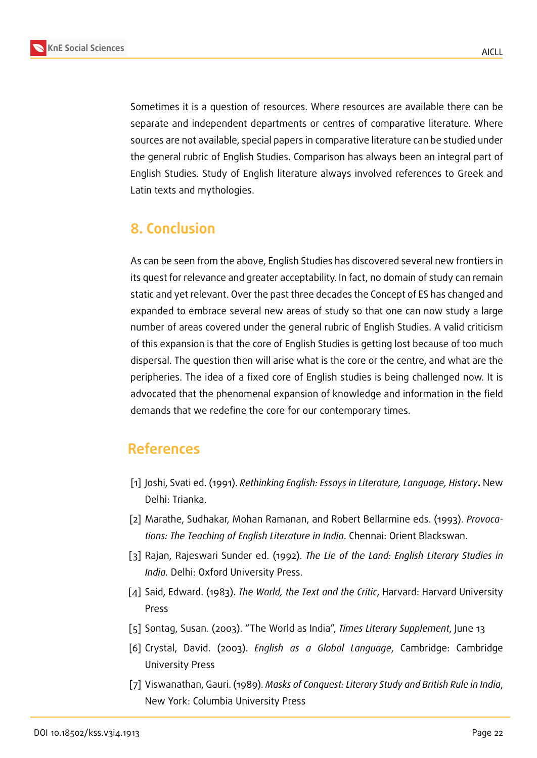Sometimes it is a question of resources. Where resources are available there can be separate and independent departments or centres of comparative literature. Where sources are not available, special papers in comparative literature can be studied under the general rubric of English Studies. Comparison has always been an integral part of English Studies. Study of English literature always involved references to Greek and Latin texts and mythologies.

### **8. Conclusion**

As can be seen from the above, English Studies has discovered several new frontiers in its quest for relevance and greater acceptability. In fact, no domain of study can remain static and yet relevant. Over the past three decades the Concept of ES has changed and expanded to embrace several new areas of study so that one can now study a large number of areas covered under the general rubric of English Studies. A valid criticism of this expansion is that the core of English Studies is getting lost because of too much dispersal. The question then will arise what is the core or the centre, and what are the peripheries. The idea of a fixed core of English studies is being challenged now. It is advocated that the phenomenal expansion of knowledge and information in the field demands that we redefine the core for our contemporary times.

#### **References**

- [1] Joshi, Svati ed. (1991). *Rethinking English: Essays in Literature, Language, History***.** New Delhi: Trianka.
- [2] Marathe, Sudhakar, Mohan Ramanan, and Robert Bellarmine eds. (1993). *Provocations: The Teaching of English Literature in India*. Chennai: Orient Blackswan.
- [3] Rajan, Rajeswari Sunder ed. (1992). *The Lie of the Land: English Literary Studies in India.* Delhi: Oxford University Press.
- [4] Said, Edward. (1983). *The World, the Text and the Critic*, Harvard: Harvard University Press
- [5] Sontag, Susan. (2003). "The World as India", *Times Literary Supplement*, June 13
- [6] Crystal, David. (2003). *English as a Global Language*, Cambridge: Cambridge University Press
- [7] Viswanathan, Gauri. (1989). *Masks of Conquest: Literary Study and British Rule in India*, New York: Columbia University Press